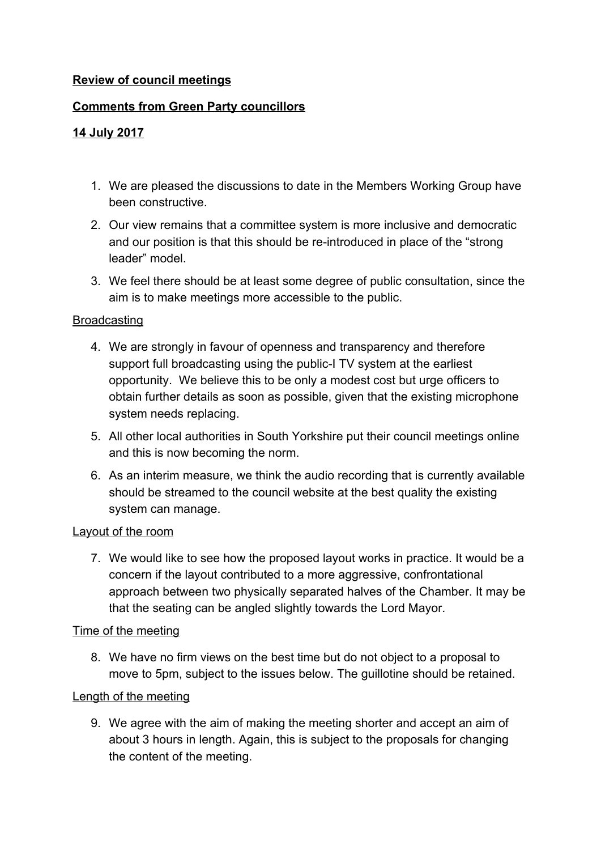## **Review of council meetings**

## **Comments from Green Party councillors**

## **14 July 2017**

- 1. We are pleased the discussions to date in the Members Working Group have been constructive.
- 2. Our view remains that a committee system is more inclusive and democratic and our position is that this should be re-introduced in place of the "strong leader" model.
- 3. We feel there should be at least some degree of public consultation, since the aim is to make meetings more accessible to the public.

#### **Broadcasting**

- 4. We are strongly in favour of openness and transparency and therefore support full broadcasting using the public-I TV system at the earliest opportunity. We believe this to be only a modest cost but urge officers to obtain further details as soon as possible, given that the existing microphone system needs replacing.
- 5. All other local authorities in South Yorkshire put their council meetings online and this is now becoming the norm.
- 6. As an interim measure, we think the audio recording that is currently available should be streamed to the council website at the best quality the existing system can manage.

#### Layout of the room

7. We would like to see how the proposed layout works in practice. It would be a concern if the layout contributed to a more aggressive, confrontational approach between two physically separated halves of the Chamber. It may be that the seating can be angled slightly towards the Lord Mayor.

### Time of the meeting

8. We have no firm views on the best time but do not object to a proposal to move to 5pm, subject to the issues below. The guillotine should be retained.

### Length of the meeting

9. We agree with the aim of making the meeting shorter and accept an aim of about 3 hours in length. Again, this is subject to the proposals for changing the content of the meeting.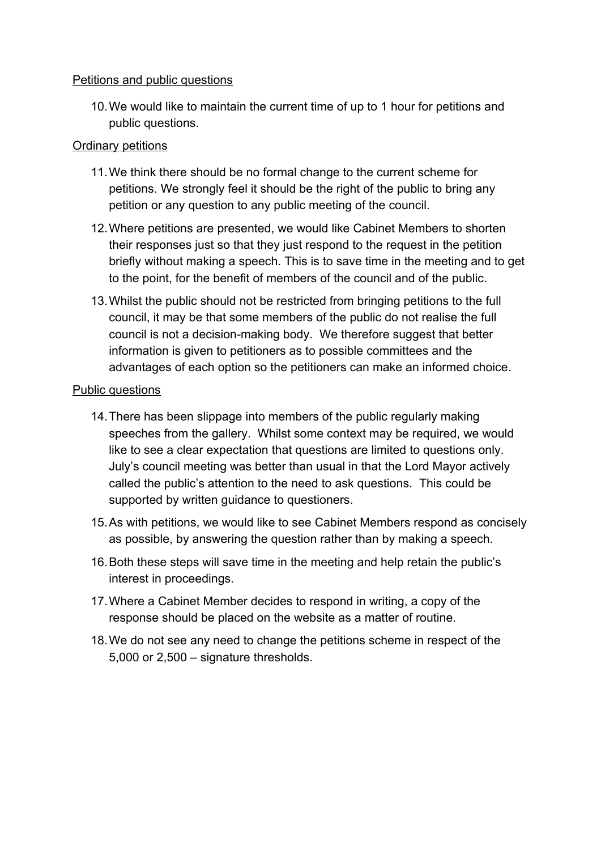### Petitions and public questions

10.We would like to maintain the current time of up to 1 hour for petitions and public questions.

# Ordinary petitions

- 11.We think there should be no formal change to the current scheme for petitions. We strongly feel it should be the right of the public to bring any petition or any question to any public meeting of the council.
- 12.Where petitions are presented, we would like Cabinet Members to shorten their responses just so that they just respond to the request in the petition briefly without making a speech. This is to save time in the meeting and to get to the point, for the benefit of members of the council and of the public.
- 13.Whilst the public should not be restricted from bringing petitions to the full council, it may be that some members of the public do not realise the full council is not a decision-making body. We therefore suggest that better information is given to petitioners as to possible committees and the advantages of each option so the petitioners can make an informed choice.

### Public questions

- 14.There has been slippage into members of the public regularly making speeches from the gallery. Whilst some context may be required, we would like to see a clear expectation that questions are limited to questions only. July's council meeting was better than usual in that the Lord Mayor actively called the public's attention to the need to ask questions. This could be supported by written guidance to questioners.
- 15.As with petitions, we would like to see Cabinet Members respond as concisely as possible, by answering the question rather than by making a speech.
- 16.Both these steps will save time in the meeting and help retain the public's interest in proceedings.
- 17.Where a Cabinet Member decides to respond in writing, a copy of the response should be placed on the website as a matter of routine.
- 18.We do not see any need to change the petitions scheme in respect of the 5,000 or 2,500 – signature thresholds.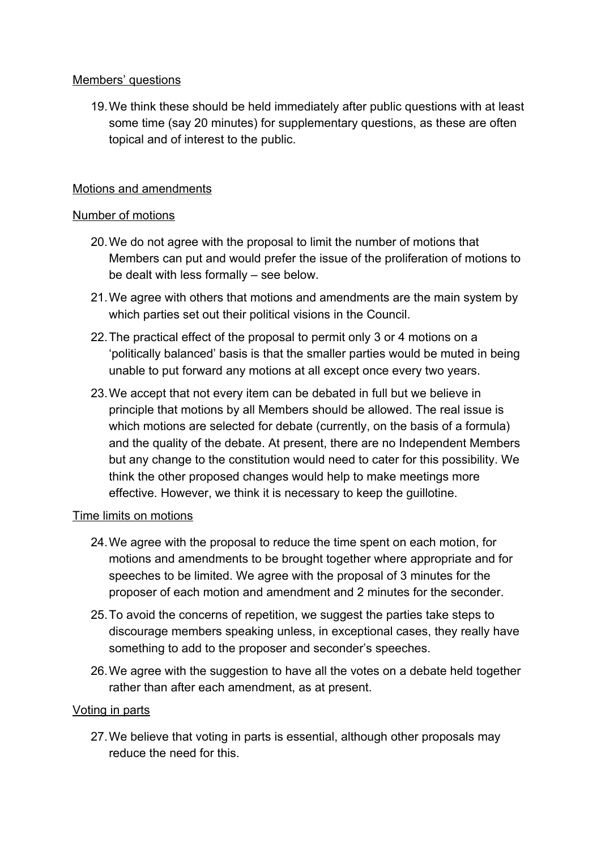## Members' questions

19.We think these should be held immediately after public questions with at least some time (say 20 minutes) for supplementary questions, as these are often topical and of interest to the public.

## Motions and amendments

### Number of motions

- 20.We do not agree with the proposal to limit the number of motions that Members can put and would prefer the issue of the proliferation of motions to be dealt with less formally – see below.
- 21.We agree with others that motions and amendments are the main system by which parties set out their political visions in the Council.
- 22.The practical effect of the proposal to permit only 3 or 4 motions on a 'politically balanced' basis is that the smaller parties would be muted in being unable to put forward any motions at all except once every two years.
- 23.We accept that not every item can be debated in full but we believe in principle that motions by all Members should be allowed. The real issue is which motions are selected for debate (currently, on the basis of a formula) and the quality of the debate. At present, there are no Independent Members but any change to the constitution would need to cater for this possibility. We think the other proposed changes would help to make meetings more effective. However, we think it is necessary to keep the guillotine.

### Time limits on motions

- 24.We agree with the proposal to reduce the time spent on each motion, for motions and amendments to be brought together where appropriate and for speeches to be limited. We agree with the proposal of 3 minutes for the proposer of each motion and amendment and 2 minutes for the seconder.
- 25.To avoid the concerns of repetition, we suggest the parties take steps to discourage members speaking unless, in exceptional cases, they really have something to add to the proposer and seconder's speeches.
- 26.We agree with the suggestion to have all the votes on a debate held together rather than after each amendment, as at present.

### Voting in parts

27.We believe that voting in parts is essential, although other proposals may reduce the need for this.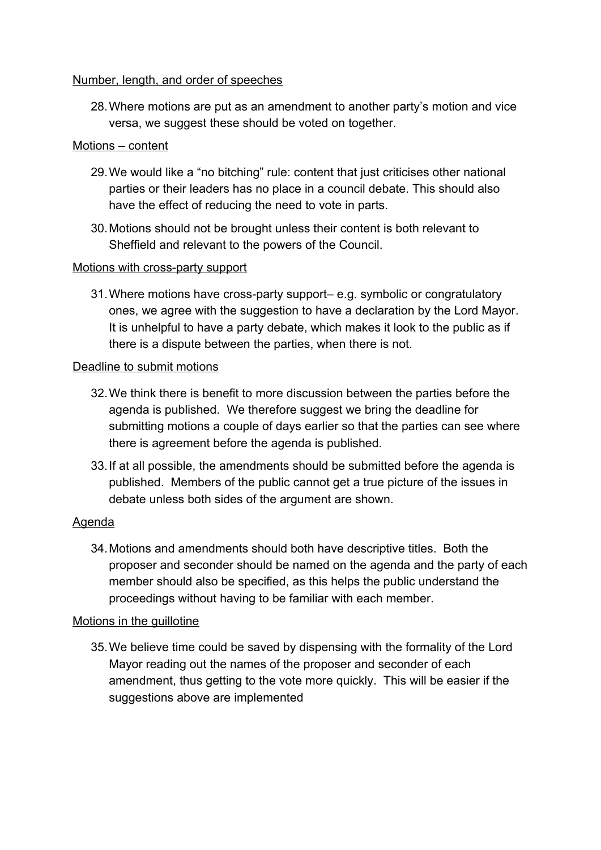### Number, length, and order of speeches

28.Where motions are put as an amendment to another party's motion and vice versa, we suggest these should be voted on together.

### Motions – content

- 29.We would like a "no bitching" rule: content that just criticises other national parties or their leaders has no place in a council debate. This should also have the effect of reducing the need to vote in parts.
- 30.Motions should not be brought unless their content is both relevant to Sheffield and relevant to the powers of the Council.

### Motions with cross-party support

31.Where motions have cross-party support– e.g. symbolic or congratulatory ones, we agree with the suggestion to have a declaration by the Lord Mayor. It is unhelpful to have a party debate, which makes it look to the public as if there is a dispute between the parties, when there is not.

### Deadline to submit motions

- 32.We think there is benefit to more discussion between the parties before the agenda is published. We therefore suggest we bring the deadline for submitting motions a couple of days earlier so that the parties can see where there is agreement before the agenda is published.
- 33.If at all possible, the amendments should be submitted before the agenda is published. Members of the public cannot get a true picture of the issues in debate unless both sides of the argument are shown.

## Agenda

34.Motions and amendments should both have descriptive titles. Both the proposer and seconder should be named on the agenda and the party of each member should also be specified, as this helps the public understand the proceedings without having to be familiar with each member.

## Motions in the guillotine

35.We believe time could be saved by dispensing with the formality of the Lord Mayor reading out the names of the proposer and seconder of each amendment, thus getting to the vote more quickly. This will be easier if the suggestions above are implemented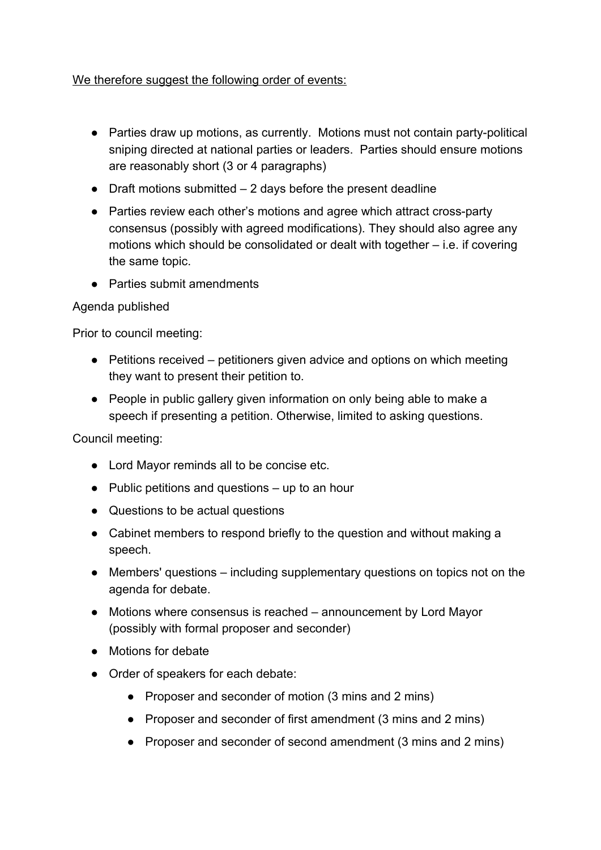# We therefore suggest the following order of events:

- Parties draw up motions, as currently. Motions must not contain party-political sniping directed at national parties or leaders. Parties should ensure motions are reasonably short (3 or 4 paragraphs)
- $\bullet$  Draft motions submitted  $-2$  days before the present deadline
- Parties review each other's motions and agree which attract cross-party consensus (possibly with agreed modifications). They should also agree any motions which should be consolidated or dealt with together – i.e. if covering the same topic.
- Parties submit amendments

# Agenda published

Prior to council meeting:

- Petitions received petitioners given advice and options on which meeting they want to present their petition to.
- People in public gallery given information on only being able to make a speech if presenting a petition. Otherwise, limited to asking questions.

## Council meeting:

- Lord Mayor reminds all to be concise etc.
- $\bullet$  Public petitions and questions up to an hour
- Questions to be actual questions
- Cabinet members to respond briefly to the question and without making a speech.
- Members' questions including supplementary questions on topics not on the agenda for debate.
- Motions where consensus is reached announcement by Lord Mayor (possibly with formal proposer and seconder)
- Motions for debate
- Order of speakers for each debate:
	- Proposer and seconder of motion (3 mins and 2 mins)
	- Proposer and seconder of first amendment (3 mins and 2 mins)
	- Proposer and seconder of second amendment (3 mins and 2 mins)